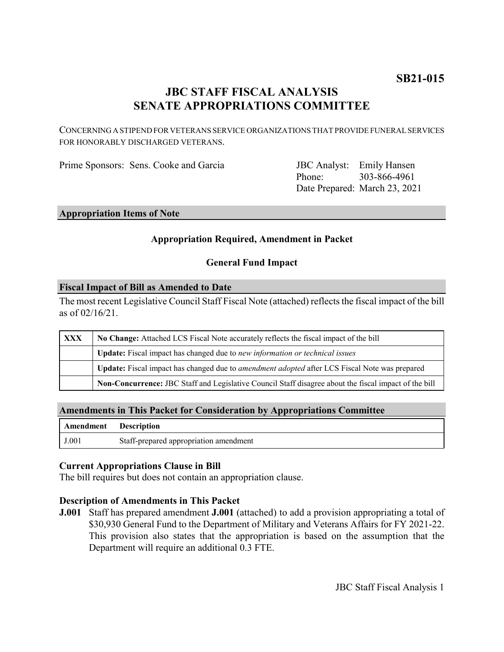# **JBC STAFF FISCAL ANALYSIS SENATE APPROPRIATIONS COMMITTEE**

CONCERNING A STIPEND FOR VETERANS SERVICE ORGANIZATIONS THAT PROVIDE FUNERAL SERVICES FOR HONORABLY DISCHARGED VETERANS.

Prime Sponsors: Sens. Cooke and Garcia

Phone: Date Prepared: March 23, 2021 JBC Analyst: Emily Hansen 303-866-4961

### **Appropriation Items of Note**

#### **Appropriation Required, Amendment in Packet**

#### **General Fund Impact**

#### **Fiscal Impact of Bill as Amended to Date**

The most recent Legislative Council Staff Fiscal Note (attached) reflects the fiscal impact of the bill as of 02/16/21.

| XXX | No Change: Attached LCS Fiscal Note accurately reflects the fiscal impact of the bill                 |
|-----|-------------------------------------------------------------------------------------------------------|
|     | Update: Fiscal impact has changed due to new information or technical issues                          |
|     | Update: Fiscal impact has changed due to <i>amendment adopted</i> after LCS Fiscal Note was prepared  |
|     | Non-Concurrence: JBC Staff and Legislative Council Staff disagree about the fiscal impact of the bill |

#### **Amendments in This Packet for Consideration by Appropriations Committee**

| Amendment Description |                                        |
|-----------------------|----------------------------------------|
| J.001                 | Staff-prepared appropriation amendment |

#### **Current Appropriations Clause in Bill**

The bill requires but does not contain an appropriation clause.

#### **Description of Amendments in This Packet**

**J.001** Staff has prepared amendment **J.001** (attached) to add a provision appropriating a total of \$30,930 General Fund to the Department of Military and Veterans Affairs for FY 2021-22. This provision also states that the appropriation is based on the assumption that the Department will require an additional 0.3 FTE.